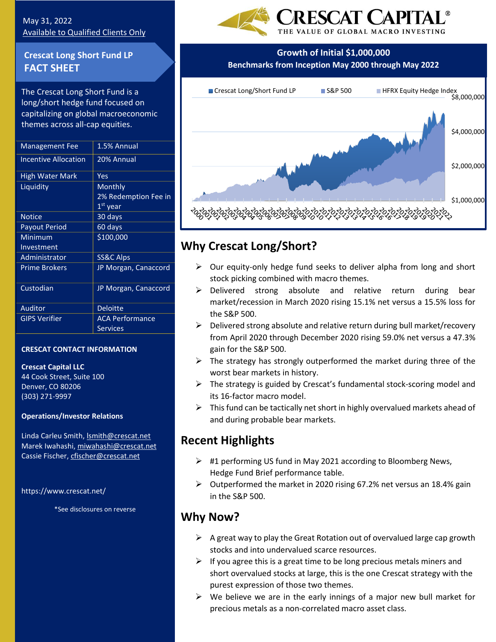## May 31, 2022 Available to Qualified Clients Only

## **Crescat Long Short Fund LP FACT SHEET**

The Crescat Long Short Fund is a long/short hedge fund focused on capitalizing on global macroeconomic themes across all-cap equities.

| <b>Management Fee</b>       | 1.5% Annual            |
|-----------------------------|------------------------|
| <b>Incentive Allocation</b> | 20% Annual             |
| High Water Mark             | Yes                    |
| Liquidity                   | Monthly                |
|                             | 2% Redemption Fee in   |
|                             | 1 <sup>st</sup> year   |
| <b>Notice</b>               | 30 days                |
| <b>Payout Period</b>        | 60 days                |
| Minimum                     | \$100,000              |
| Investment                  |                        |
| Administrator               | SS&C Alps              |
| <b>Prime Brokers</b>        | JP Morgan, Canaccord   |
| Custodian                   | JP Morgan, Canaccord   |
| Auditor                     | <b>Deloitte</b>        |
| <b>GIPS Verifier</b>        | <b>ACA Performance</b> |
|                             | <b>Services</b>        |
|                             |                        |

### **CRESCAT CONTACT INFORMATION**

### **Crescat Capital LLC**

44 Cook Street, Suite 100 Denver, CO 80206 (303) 271-9997

### **Operations/Investor Relations**

Linda Carleu Smith, [lsmith@crescat.net](mailto:lsmith@crescat.net) Marek Iwahashi, miwahashi@crescat.net Cassie Fischer, cfischer@crescat.net

<https://www.crescat.net/>

\*See disclosures on reverse





## has h i,iwahashi@crescat.net **Why Crescat Long/Short?**

- ➢ Our equity-only hedge fund seeks to deliver alpha from long and short stock picking combined with macro themes.
- ➢ Delivered strong absolute and relative return during bear market/recession in March 2020 rising 15.1% net versus a 15.5% loss for the S&P 500.
- ➢ Delivered strong absolute and relative return during bull market/recovery from April 2020 through December 2020 rising 59.0% net versus a 47.3% gain for the S&P 500.
- $\triangleright$  The strategy has strongly outperformed the market during three of the worst bear markets in history.
- $\triangleright$  The strategy is guided by Crescat's fundamental stock-scoring model and its 16-factor macro model.
- $\triangleright$  This fund can be tactically net short in highly overvalued markets ahead of and during probable bear markets.

# **Recent Highlights**

- $\triangleright$  #1 performing US fund in May 2021 according to Bloomberg News, Hedge Fund Brief performance table.
- ➢ Outperformed the market in 2020 rising 67.2% net versus an 18.4% gain in the S&P 500.

# **Why Now?**

- $\triangleright$  A great way to play the Great Rotation out of overvalued large cap growth stocks and into undervalued scarce resources.
- $\triangleright$  If you agree this is a great time to be long precious metals miners and short overvalued stocks at large, this is the one Crescat strategy with the purest expression of those two themes.
- $\triangleright$  We believe we are in the early innings of a major new bull market for precious metals as a non-correlated macro asset class.